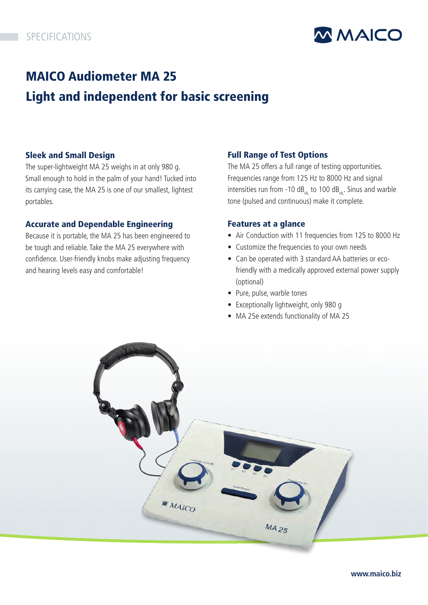

# MAICO Audiometer MA 25 Light and independent for basic screening

# Sleek and Small Design

The super-lightweight MA 25 weighs in at only 980 g. Small enough to hold in the palm of your hand! Tucked into its carrying case, the MA 25 is one of our smallest, lightest portables.

## Accurate and Dependable Engineering

Because it is portable, the MA 25 has been engineered to be tough and reliable. Take the MA 25 everywhere with confidence. User-friendly knobs make adjusting frequency and hearing levels easy and comfortable!

# Full Range of Test Options

The MA 25 offers a full range of testing opportunities. Frequencies range from 125 Hz to 8000 Hz and signal intensities run from -10 dB $_{HI}$  to 100 dB $_{HI}$ . Sinus and warble tone (pulsed and continuous) make it complete.

## Features at a glance

- Air Conduction with 11 frequencies from 125 to 8000 Hz
- Customize the frequencies to your own needs
- Can be operated with 3 standard AA batteries or ecofriendly with a medically approved external power supply (optional)
- Pure, pulse, warble tones
- Exceptionally lightweight, only 980 g
- MA 25e extends functionality of MA 25